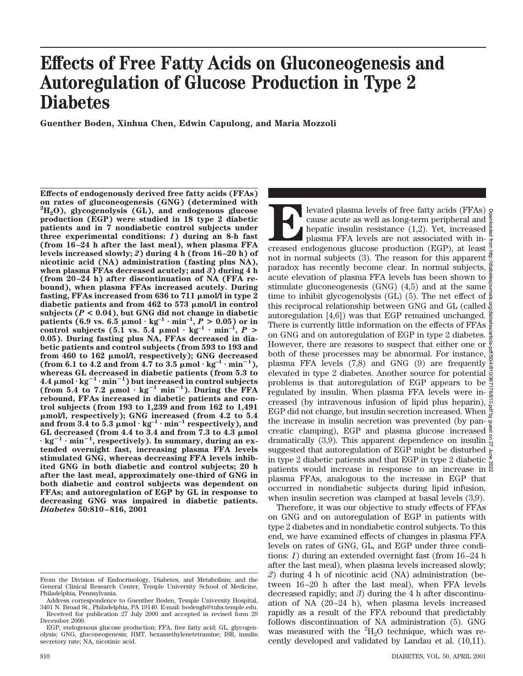# **Effects of Free Fatty Acids on Gluconeogenesis and Autoregulation of Glucose Production in Type 2 Diabetes**

**Guenther Boden, Xinhua Chen, Edwin Capulong, and Maria Mozzoli**

**Effects of endogenously derived free fatty acids (FFAs) on rates of gluconeogenesis (GNG) (determined with 2 H2O), glycogenolysis (GL), and endogenous glucose production (EGP) were studied in 18 type 2 diabetic patients and in 7 nondiabetic control subjects under three experimental conditions:** *1***) during an 8-h fast (from 16–24 h after the last meal), when plasma FFA levels increased slowly;** *2***) during 4 h (from 16–20 h) of nicotinic acid (NA) administration (fasting plus NA), when plasma FFAs decreased acutely; and** *3***) during 4 h (from 20–24 h) after discontinuation of NA (FFA rebound), when plasma FFAs increased acutely. During** fasting, FFAs increased from 636 to 711  $\mu$ mol/l in type 2 diabetic patients and from 462 to 573  $\mu$ mol/l in control subjects  $(P < 0.04)$ , but GNG did not change in diabetic **patients (6.9 vs. 6.5**  $\mu$ mol ·  $kg^{-1}$  ·  $min^{-1}$ ,  $P > 0.05$ ) or in control subjects (5.1 vs. 5.4  $\mu$ mol ·  $kg^{-1}$  ·  $min^{-1}$ ,  $P$  > **0.05). During fasting plus NA, FFAs decreased in diabetic patients and control subjects (from 593 to 193 and** from 460 to 162  $\mu$ mol/l, respectively); GNG decreased  $(\text{from } 6.1 \text{ to } 4.2 \text{ and from } 4.7 \text{ to } 3.5 \text{ } \mu \text{mol} \cdot \text{kg}^{-1} \cdot \text{min}^{-1}),$ **whereas GL decreased in diabetic patients (from 5.3 to**  $4.4 \mu$ mol·kg $^{-1}$ ·min $^{-1}$ ) but increased in control subjects (from 5.4 to 7.2  $\mu$ mol ·  $kg^{-1}$  min<sup>-1</sup>). During the FFA **rebound, FFAs increased in diabetic patients and control subjects (from 193 to 1,239 and from 162 to 1,491** m**mol/l, respectively); GNG increased (from 4.2 to 5.4** and from 3.4 to 5.3  $\mu$ mol  $\cdot$  kg<sup>-1</sup>  $\cdot$  min<sup>-1</sup> respectively), and GL decreased (from 4.4 to 3.4 and from 7.3 to 4.3  $\mu$ mol  $\cdot$  kg<sup>-1</sup>  $\cdot$  min<sup>-1</sup>, respectively). In summary, during an ex**tended overnight fast, increasing plasma FFA levels stimulated GNG, whereas decreasing FFA levels inhibited GNG in both diabetic and control subjects; 20 h after the last meal, approximately one-third of GNG in both diabetic and control subjects was dependent on FFAs; and autoregulation of EGP by GL in response to decreasing GNG was impaired in diabetic patients.** *Diabetes* **50:810–816, 2001**

dramatically (3,9). This apparent dependence on insulin  $\frac{9}{8}$ suggested that autoregulation of EGP might be disturbed  $\epsilon$ in type 2 diabetic patients and that EGP in type 2 diabetic  $\frac{3}{8}$ patients would increase in response to an increase in  $\frac{8}{3}$ plasma FFAs, analogous to the increase in EGP that occurred in nondiabetic subjects during lipid infusion, when insulin secretion was clamped at basal levels (3,9). Therefore, it was our objective to study effects of FFAs on GNG and on autoregulation of EGP in patients with type 2 diabetes and in nondiabetic control subjects. To this end, we have examined effects of changes in plasma FFA levels on rates of GNG, GL, and EGP under three conditions: *1*) during an extended overnight fast (from 16–24 h after the last meal), when plasma levels increased slowly; *2*) during 4 h of nicotinic acid (NA) administration (between 16–20 h after the last meal), when FFA levels decreased rapidly; and *3*) during the 4 h after discontinuation of NA (20–24 h), when plasma levels increased rapidly as a result of the FFA rebound that predictably follows discontinuation of NA administration (5). GNG was measured with the  ${}^{2}H_{2}O$  technique, which was re-

levated plasma levels of free fatty acids (FFAs) cause acute as well as long-term peripheral and hepatic insulin resistance (1,2). Yet, increased plasma FFA levels are not associated with increased endogenous glucose produ

plasma FFA levels are not associated with innot in normal subjects (3). The reason for this apparent  $\frac{3}{5}$ paradox has recently become clear. In normal subjects,  $\frac{2}{3}$ acute elevation of plasma FFA levels has been shown to stimulate gluconeogenesis (GNG) (4,5) and at the same  $\frac{9}{5}$ time to inhibit glycogenolysis (GL) (5). The net effect of  $\frac{3}{8}$ this reciprocal relationship between GNG and GL (called autoregulation [4,6]) was that EGP remained unchanged. There is currently little information on the effects of FFAs on GNG and on autoregulation of EGP in type 2 diabetes. However, there are reasons to suspect that either one or  $\frac{6}{5}$ both of these processes may be abnormal. For instance,  $\frac{4}{5}$ plasma FFA levels (7,8) and GNG (9) are frequently  $\frac{8}{9}$ elevated in type 2 diabetes. Another source for potential  $\frac{3}{5}$ problems is that autoregulation of EGP appears to be  $\frac{3}{2}$ regulated by insulin. When plasma FFA levels were in- $\frac{3}{8}$ creased (by intravenous infusion of lipid plus heparin),  $\frac{3}{5}$ EGP did not change, but insulin secretion increased. When  $\frac{1}{\pi}$ the increase in insulin secretion was prevented (by pancreatic clamping), EGP and plasma glucose increased

cause acute as well as long-term peripheral and hepatic insulin resistance (1,2). Yet, increased plasma FFA levels are not associated with in-

Downloaded from http://diabetesjournals.org/diabetes/article-pdf/50/4/810/367176/810.pdf by guest on 27 June 2022

cently developed and validated by Landau et al. (10,11).

From the Division of Endocrinology, Diabetes, and Metabolism; and the General Clinical Research Center, Temple University School of Medicine, Philadelphia, Pennsylvania.

Address correspondence to Guenther Boden, Temple University Hospital, 3401 N. Broad St., Philadelphia, PA 19140. E-mail: bodengh@tuhs.temple.edu. Received for publication 27 July 2000 and accepted in revised form 29

December 2000.

EGP, endogenous glucose production; FFA, free fatty acid; GL, glycogenolysis; GNG, gluconeogenesis; HMT, hexamethylenetetramine; ISR, insulin secretory rate; NA, nicotinic acid.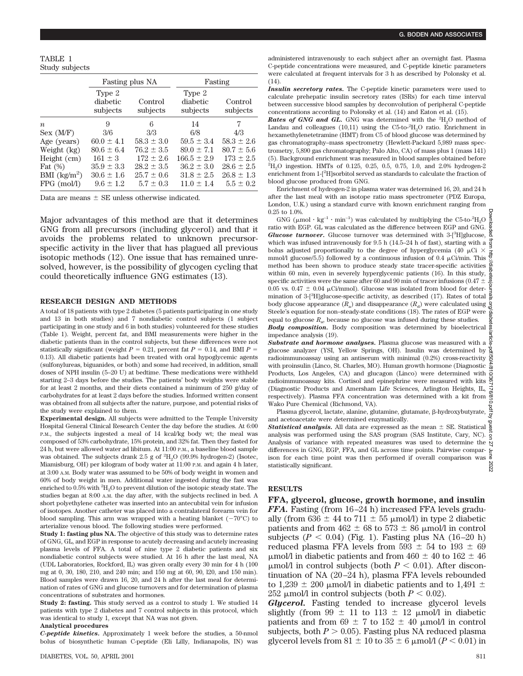TABLE 1 Study subjects

|                  | Fasting plus NA                |                     | Fasting                        |                     |
|------------------|--------------------------------|---------------------|--------------------------------|---------------------|
|                  | Type 2<br>diabetic<br>subjects | Control<br>subjects | Type 2<br>diabetic<br>subjects | Control<br>subjects |
| $\boldsymbol{n}$ | 9                              | 6                   | 14                             | 7                   |
| Sex (M/F)        | 3/6                            | 3/3                 | 6/8                            | 4/3                 |
| Age (years)      | $60.0 \pm 4.1$                 | $58.3 \pm 3.0$      | $59.5 \pm 3.4$                 | $58.3 \pm 2.6$      |
| Weight (kg)      | $80.6 \pm 6.4$                 | $76.2 \pm 3.5$      | $89.0 \pm 7.1$                 | $80.7 \pm 5.6$      |
| Height (cm)      | $161 \pm 3$                    | $172 \pm 2.6$       | $166.5 \pm 2.9$                | $173 \pm 2.5$       |
| Fat $(\%)$       | $35.9 \pm 3.3$                 | $28.2 \pm 3.5$      | $36.2 \pm 3.0$                 | $28.6 \pm 2.5$      |
| BMI $(kg/m^2)$   | $30.6 \pm 1.6$                 | $25.7 \pm 0.6$      | $31.8 \pm 2.5$                 | $26.8 \pm 1.3$      |
| $FPG$ (mol/l)    | $9.6 \pm 1.2$                  | $5.7 \pm 0.3$       | $11.0 \pm 1.4$                 | $5.5 \pm 0.2$       |

Data are means  $+$  SE unless otherwise indicated.

Major advantages of this method are that it determines GNG from all precursors (including glycerol) and that it avoids the problems related to unknown precursorspecific activity in the liver that has plagued all previous isotopic methods (12). One issue that has remained unresolved, however, is the possibility of glycogen cycling that could theoretically influence GNG estimates (13).

#### **RESEARCH DESIGN AND METHODS**

A total of 18 patients with type 2 diabetes (5 patients participating in one study and 13 in both studies) and 7 nondiabetic control subjects (1 subject participating in one study and 6 in both studies) volunteered for these studies (Table 1). Weight, percent fat, and BMI measurements were higher in the diabetic patients than in the control subjects, but these differences were not statistically significant (weight  $P = 0.21$ , percent fat  $P = 0.14$ , and BMI  $P =$ 0.13). All diabetic patients had been treated with oral hypoglycemic agents (sulfonylureas, biguanides, or both) and some had received, in addition, small doses of NPH insulin (5–20 U) at bedtime. These medications were withheld starting 2–3 days before the studies. The patients' body weights were stable for at least 2 months, and their diets contained a minimum of 250 g/day of carbohydrates for at least 2 days before the studies. Informed written consent was obtained from all subjects after the nature, purpose, and potential risks of the study were explained to them.

**Experimental design.** All subjects were admitted to the Temple University Hospital General Clinical Research Center the day before the studies. At 6:00 P.M., the subjects ingested a meal of 14 kcal/kg body wt; the meal was composed of 53% carbohydrate, 15% protein, and 32% fat. Then they fasted for 24 h, but were allowed water ad libitum. At 11:00 P.M., a baseline blood sample was obtained. The subjects drank 2.5 g of  ${}^{2}{\rm H}_{2}{\rm O}$  (99.9% hydrogen-2) (Isotec, Miamisburg, OH) per kilogram of body water at 11:00 P.M. and again 4 h later, at 3:00 A.M. Body water was assumed to be 50% of body weight in women and 60% of body weight in men. Additional water ingested during the fast was enriched to 0.5% with  $\rm{^2H_2O}$  to prevent dilution of the isotopic steady state. The studies began at 8:00 A.M. the day after, with the subjects reclined in bed. A short polyethylene catheter was inserted into an antecubital vein for infusion of isotopes. Another catheter was placed into a contralateral forearm vein for blood sampling. This arm was wrapped with a heating blanket  $(-70^{\circ}C)$  to arterialize venous blood. The following studies were performed.

**Study 1: fasting plus NA.** The objective of this study was to determine rates of GNG, GL, and EGP in response to acutely decreasing and acutely increasing plasma levels of FFA. A total of nine type 2 diabetic patients and six nondiabetic control subjects were studied. At 16 h after the last meal, NA (UDL Laboratories, Rockford, IL) was given orally every 30 min for 4 h (100 mg at 0, 30, 180, 210, and 240 min; and 150 mg at 60, 90, l20, and 150 min). Blood samples were drawn 16, 20, and 24 h after the last meal for determination of rates of GNG and glucose turnovers and for determination of plasma concentrations of substrates and hormones.

**Study 2: fasting.** This study served as a control to study 1. We studied 14 patients with type 2 diabetes and 7 control subjects in this protocol, which was identical to study 1, except that NA was not given.

#### **Analytical procedures**

*C-peptide kinetics.* Approximately 1 week before the studies, a 50-nmol bolus of biosynthetic human C-peptide (Eli Lilly, Indianapolis, IN) was

administered intravenously to each subject after an overnight fast. Plasma C-peptide concentrations were measured, and C-peptide kinetic parameters were calculated at frequent intervals for 3 h as described by Polonsky et al. (14).

*Insulin secretory rates.* The C-peptide kinetic parameters were used to calculate prehepatic insulin secretory rates (ISRs) for each time interval between successive blood samples by deconvolution of peripheral C-peptide concentrations according to Polonsky et al. (14) and Eaton et al. (15).

**Rates of GNG and GL.** GNG was determined with the  ${}^{2}H_{2}O$  method of Landau and colleagues  $(10,11)$  using the C5-to-<sup>2</sup>H<sub>2</sub>O ratio. Enrichment in hexamethylenetetramine (HMT) from C5 of blood glucose was determined by gas chromatography–mass spectrometry (Hewlett-Packard 5,989 mass spectrometry, 5,890 gas chromatography; Palo Alto, CA) of mass plus 1 (mass 141) (5). Background enrichment was measured in blood samples obtained before 2 H2O ingestion. HMTs of 0.125, 0.25, 0.5, 0.75, 1.0, and 2.0% hydrogen-2 enrichment from 1-[<sup>2</sup>H]sorbitol served as standards to calculate the fraction of blood glucose produced from GNG.

Enrichment of hydrogen-2 in plasma water was determined 16, 20, and 24 h after the last meal with an isotope ratio mass spectrometer (PDZ Europa, London, U.K.) using a standard curve with known enrichment ranging from 0.25 to 1.0%.

GNG ( $\mu$ mol · kg<sup>-1</sup> · min<sup>-1</sup>) was calculated by multiplying the C5-to-<sup>2</sup>H<sub>2</sub>O ratio with EGP. GL was calculated as the difference between EGP and GNG. Glucose turnover. Glucose turnover was determined with 3-[<sup>3</sup>H]glucose, which was infused intravenously for 9.5 h (14.5–24 h of fast), starting with a  $\frac{3}{5}$ bolus adjusted proportionally to the degree of hyperglycemia (40  $\upmu\mathrm{Ci}\,\times$ mmol/l glucose/5.5) followed by a continuous infusion of 0.4  $\mu$ Ci/min. This method base boon charm to any method has been shown to produce steady state tracer-specific activities  $\frac{\delta}{\delta}$ within 60 min, even in severely hyperglycemic patients (16). In this study, specific activities were the same after 60 and 90 min of tracer infusions (0.47  $\pm$ 0.05 vs. 0.47  $\pm$  0.04  $\mu$ Ci/mmol). Glucose was isolated from blood for determination of 3-[3 H]glucose-specific activity, as described (17). Rates of total body glucose appearance  $(R_a)$  and disappearance  $(R_d)$  were calculated using<br>Steele's equation for non–steady-state conditions (18). The rates of EGP were equal to glucose  $R_a$ , because no glucose was infused during these studies. **Body composition.** Body composition was determined by bioelectrical  $\frac{3}{8}$ 

impedance analysis (19).

*Substrate and hormone analyses.* Plasma glucose was measured with a  $\frac{8}{9}$ glucose analyzer (YSI, Yellow Springs, OH). Insulin was determined by radioimmunoassay using an antiserum with minimal  $(0.2%)$  cross-reactivity  $\frac{3}{2}$ with proinsulin (Linco, St. Charles, MO). Human growth hormone (Diagnostic  $\frac{3}{\infty}$ Products, Los Angeles, CA) and glucagon (Linco) were determined with  $\frac{1}{\omega}$ radioimmunoassay kits. Cortisol and epinephrine were measured with kits (Diagnostic Products and Amersham Life Sciences, Arlington Heights, IL,  $\frac{1}{\alpha}$ respectively). Plasma FFA concentration was determined with a kit from  $\frac{8}{9}$ Wako Pure Chemical (Richmond, VA). Downloaded from http://diabetesjournals.org/diabetes/article-pdf/50/4/810/367176/810.pdf by guest on 27 June 2022

Plasma glycerol, lactate, alanine, glutamine, glutamate, β-hydroxybutyrate,  $\frac{a}{g}$ and acetoacetate were determined enzymatically.

**Statistical analysis.** All data are expressed as the mean  $\pm$  SE. Statistical  $\frac{a}{a}$ analysis was performed using the SAS program (SAS Institute, Cary, NC). Analysis of variance with repeated measures was used to determine the  $\frac{1}{2}$ differences in GNG, EGP, FFA, and GL across time points. Pairwise comparison for each time point was then performed if overall comparison was 2022 statistically significant.

### **RESULTS**

**FFA, glycerol, glucose, growth hormone, and insulin** *FFA.* Fasting (from 16–24 h) increased FFA levels gradually (from 636  $\pm$  44 to 711  $\pm$  55 µmol/l) in type 2 diabetic patients and from  $462 \pm 68$  to  $573 \pm 86$  µmol/l in control subjects  $(P < 0.04)$  (Fig. 1). Fasting plus NA  $(16–20 h)$ reduced plasma FFA levels from 593  $\pm$  54 to 193  $\pm$  69  $\mu$ mol/l in diabetic patients and from 460  $\pm$  40 to 162  $\pm$  46  $\mu$ mol/l in control subjects (both  $P < 0.01$ ). After discontinuation of NA (20–24 h), plasma FFA levels rebounded to 1,239  $\pm$  200 µmol/l in diabetic patients and to 1,491  $\pm$ 252  $\mu$ mol/l in control subjects (both  $P < 0.02$ ).

*Glycerol.* Fasting tended to increase glycerol levels slightly (from 99  $\pm$  11 to 113  $\pm$  12 µmol/l in diabetic patients and from 69  $\pm$  7 to 152  $\pm$  40 µmol/l in control subjects, both  $P > 0.05$ ). Fasting plus NA reduced plasma glycerol levels from  $81 \pm 10$  to  $35 \pm 6$  µmol/l ( $P < 0.01$ ) in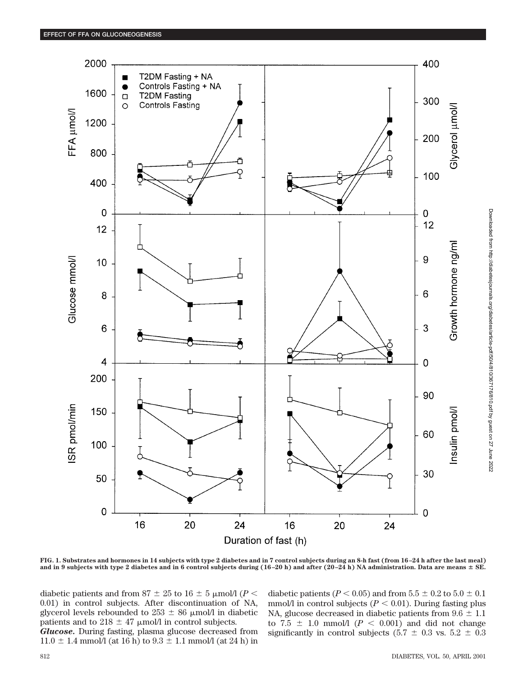

Downloaded from http://diabetesjournals.org/diabetes/article-pdf/50/4/810/367176/810.pdf by guest on 27 June 2022 Downloaded from http://diabetesjournals.org/diabetes/article-pdf/50/4/810/367176/810.pdf by guest on 27 June 2022

**FIG. 1. Substrates and hormones in 14 subjects with type 2 diabetes and in 7 control subjects during an 8-h fast (from 16–24 h after the last meal)** and in 9 subjects with type 2 diabetes and in 6 control subjects during  $(16-20 h)$  and after  $(20-24 h)$  NA administration. Data are means  $\pm$  SE.

diabetic patients and from 87  $\pm$  25 to 16  $\pm$  5 µmol/l (*P* < 0.01) in control subjects. After discontinuation of NA, glycerol levels rebounded to  $253 \pm 86$  µmol/l in diabetic patients and to 218  $\pm$  47 µmol/l in control subjects.

*Glucose.* During fasting, plasma glucose decreased from  $11.0 \pm 1.4$  mmol/l (at 16 h) to  $9.3 \pm 1.1$  mmol/l (at 24 h) in diabetic patients ( $P < 0.05$ ) and from  $5.5 \pm 0.2$  to  $5.0 \pm 0.1$ mmol/l in control subjects  $(P < 0.01)$ . During fasting plus NA, glucose decreased in diabetic patients from  $9.6 \pm 1.1$ to  $7.5 \pm 1.0$  mmol/l ( $P < 0.001$ ) and did not change significantly in control subjects (5.7  $\pm$  0.3 vs. 5.2  $\pm$  0.3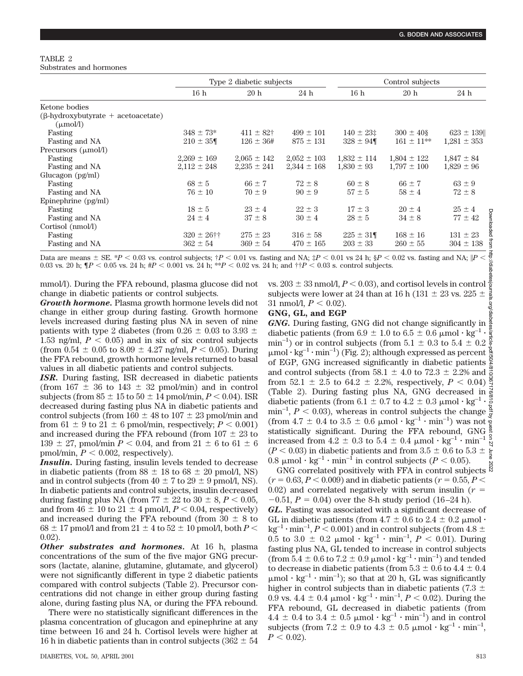### TABLE 2 Substrates and hormones

| Type 2 diabetic subjects |                 | Control subjects |                 |                 |                 |
|--------------------------|-----------------|------------------|-----------------|-----------------|-----------------|
| 16h                      | 20h             | 24 h             | 16h             | 20h             | 24 h            |
|                          |                 |                  |                 |                 |                 |
|                          |                 |                  |                 |                 |                 |
| $348 \pm 73*$            | $411 \pm 82$ †  | $499 \pm 101$    | $140 \pm 23$ :  | $300 \pm 40$ §  | $623 \pm 139$   |
| $210 \pm 35$             | $126 \pm 36#$   | $875 \pm 131$    | $328 \pm 94$    | $161 \pm 11***$ | $1,281 \pm 353$ |
|                          |                 |                  |                 |                 |                 |
| $2,269 \pm 169$          | $2,065 \pm 142$ | $2,052 \pm 103$  | $1,832 \pm 114$ | $1,804 \pm 122$ | $1,847 \pm 84$  |
| $2,112 \pm 248$          | $2,235 \pm 241$ |                  | $1,830 \pm 93$  |                 | $1,829 \pm 96$  |
|                          |                 |                  |                 |                 |                 |
| $68 \pm 5$               | $66 \pm 7$      | $72 \pm 8$       | $60 \pm 8$      | $66 \pm 7$      | $63 \pm 9$      |
| $76 \pm 10$              | $70 \pm 9$      | $90 \pm 9$       | $57 \pm 5$      | $58 \pm 4$      | $72 \pm 8$      |
|                          |                 |                  |                 |                 |                 |
| $18 \pm 5$               | $23 \pm 4$      | $22 \pm 3$       | $17 \pm 3$      | $20 \pm 4$      | $25 \pm 4$<br>p |
| $24 \pm 4$               | $37 \pm 8$      | $30 \pm 4$       | $28 \pm 5$      | $34 \pm 8$      | $77 \pm 42$     |
|                          |                 |                  |                 |                 |                 |
| $320 \pm 26$ ††          | $275 \pm 23$    | $316 \pm 58$     | $225 \pm 31$    | $168 \pm 16$    | $131 \pm 23$    |
| $362 \pm 54$             | $369 \pm 54$    | $470 \pm 165$    | $203 \pm 33$    | $260 \pm 55$    | $304 \pm 138$   |
|                          |                 |                  | $2,344 \pm 168$ |                 | $1,797 \pm 100$ |

mmol/l). During the FFA rebound, plasma glucose did not change in diabetic patients or control subjects.

*Growth hormone.* Plasma growth hormone levels did not change in either group during fasting. Growth hormone levels increased during fasting plus NA in seven of nine patients with type 2 diabetes (from  $0.26 \pm 0.03$  to  $3.93 \pm 0.03$ 1.53 ng/ml,  $P < 0.05$ ) and in six of six control subjects (from  $0.54 \pm 0.05$  to  $8.09 \pm 4.27$  ng/ml,  $P < 0.05$ ). During the FFA rebound, growth hormone levels returned to basal values in all diabetic patients and control subjects.

*ISR.* During fasting, ISR decreased in diabetic patients (from  $167 \pm 36$  to  $143 \pm 32$  pmol/min) and in control subjects (from  $85 \pm 15$  to  $50 \pm 14$  pmol/min,  $P < 0.04$ ). ISR decreased during fasting plus NA in diabetic patients and control subjects (from  $160 \pm 48$  to  $107 \pm 23$  pmol/min and from  $61 \pm 9$  to  $21 \pm 6$  pmol/min, respectively;  $P < 0.001$ ) and increased during the FFA rebound (from  $107 \pm 23$  to 139  $\pm$  27, pmol/min *P* < 0.04, and from 21  $\pm$  6 to 61  $\pm$  6 pmol/min,  $P < 0.002$ , respectively).

*Insulin.* During fasting, insulin levels tended to decrease in diabetic patients (from  $88 \pm 18$  to  $68 \pm 20$  pmol/l, NS) and in control subjects (from  $40 \pm 7$  to  $29 \pm 9$  pmol/l, NS). In diabetic patients and control subjects, insulin decreased during fasting plus NA (from  $77 \pm 22$  to  $30 \pm 8$ ,  $P < 0.05$ , and from  $46 \pm 10$  to  $21 \pm 4$  pmol/l,  $P < 0.04$ , respectively) and increased during the FFA rebound (from  $30 \pm 8$  to  $68 \pm 17$  pmol/l and from  $21 \pm 4$  to  $52 \pm 10$  pmol/l, both  $P \le$ 0.02).

*Other substrates and hormones.* At 16 h, plasma concentrations of the sum of the five major GNG precursors (lactate, alanine, glutamine, glutamate, and glycerol) were not significantly different in type 2 diabetic patients compared with control subjects (Table 2). Precursor concentrations did not change in either group during fasting alone, during fasting plus NA, or during the FFA rebound.

There were no statistically significant differences in the plasma concentration of glucagon and epinephrine at any time between 16 and 24 h. Cortisol levels were higher at 16 h in diabetic patients than in control subjects (362  $\pm$  54 vs.  $203 \pm 33$  nmol/l,  $P < 0.03$ ), and cortisol levels in control subjects were lower at 24 than at 16 h (131  $\pm$  23 vs. 225  $\pm$ 31 nmol/l,  $P < 0.02$ ).

## **GNG, GL, and EGP**

*GNG.* During fasting, GNG did not change significantly in diabetic patients (from 6.9  $\pm$  1.0 to 6.5  $\pm$  0.6 µmol  $\cdot$  kg<sup>-1</sup>  $\cdot$ min<sup>-1</sup>) or in control subjects (from  $5.1 \pm 0.3$  to  $5.4 \pm 0.2 \frac{2}{3}$  $\mu$ mol · kg<sup>-1</sup> · min<sup>-1</sup>) (Fig. 2); although expressed as percent of EGP, GNG increased significantly in diabetic patients and control subjects (from 58.1  $\pm$  4.0 to 72.3  $\pm$  2.2% and  $\frac{3}{5}$ from 52.1  $\pm$  2.5 to 64.2  $\pm$  2.2%, respectively,  $P < 0.04$ ) (Table 2). During fasting plus NA, GNG decreased in  $\frac{3}{8}$ diabetic patients (from 6.1  $\pm$  0.7 to 4.2  $\pm$  0.3  $\mu$ mol·kg<sup>-1</sup>· min<sup>-1</sup>,  $P < 0.03$ ), whereas in control subjects the change (from  $4.7 \pm 0.4$  to  $3.5 \pm 0.6$   $\mu$ mol  $\cdot$  kg<sup>-1</sup>  $\cdot$  min<sup>-1</sup>) was not  $\frac{8}{8}$ statistically significant. During the FFA rebound, GNG increased from  $4.2 \pm 0.3$  to  $5.4 \pm 0.4$  µmol  $\cdot$  kg<sup>-1</sup>  $\cdot$  min<sup>-1</sup>  $(P < 0.03)$  in diabetic patients and from  $3.5 \pm 0.6$  to  $5.3 \pm \frac{1}{5}$ 0.8  $\mu$ mol·kg<sup>-1</sup>·min<sup>-1</sup> in control subjects (*P* < 0.05). Downloaded from http://diabetesjournals.org/diabetes/article-pdf/50/4/810/367176/810.pdf by guest on 27 June 2022

GNG correlated positively with FFA in control subjects  $\frac{8}{5}$  $(r = 0.63, P < 0.009)$  and in diabetic patients  $(r = 0.55, P <$ 0.02) and correlated negatively with serum insulin  $(r =$  $-0.51$ ,  $P = 0.04$ ) over the 8-h study period (16–24 h). *GL.* Fasting was associated with a significant decrease of GL in diabetic patients (from  $4.7 \pm 0.6$  to  $2.4 \pm 0.2$  µmol  $\cdot$  $kg^{-1} \cdot min^{-1}$ ,  $P < 0.001$ ) and in control subjects (from 4.8  $\pm$ 0.5 to 3.0  $\pm$  0.2  $\mu$ mol · kg<sup>-1</sup> · min<sup>-1</sup>, *P* < 0.01). During fasting plus NA, GL tended to increase in control subjects (from  $5.4 \pm 0.6$  to  $7.2 \pm 0.9$   $\mu$ mol  $\cdot$  kg<sup>-1</sup>  $\cdot$  min<sup>-1</sup>) and tended to decrease in diabetic patients (from  $5.3 \pm 0.6$  to  $4.4 \pm 0.4$ )  $\mu$ mol · kg<sup>-1</sup> · min<sup>-1</sup>); so that at 20 h, GL was significantly higher in control subjects than in diabetic patients (7.3  $\pm$ 0.9 vs. 4.4  $\pm$  0.4  $\mu$ mol · kg<sup>-1</sup> · min<sup>-1</sup>, *P* < 0.02). During the FFA rebound, GL decreased in diabetic patients (from  $4.4 \pm 0.4$  to  $3.4 \pm 0.5$  µmol  $\cdot$  kg<sup>-1</sup>  $\cdot$  min<sup>-1</sup>) and in control subjects (from 7.2  $\pm$  0.9 to 4.3  $\pm$  0.5  $\mu$ mol · kg<sup>-1</sup> · min<sup>-1</sup>,  $P < 0.02$ .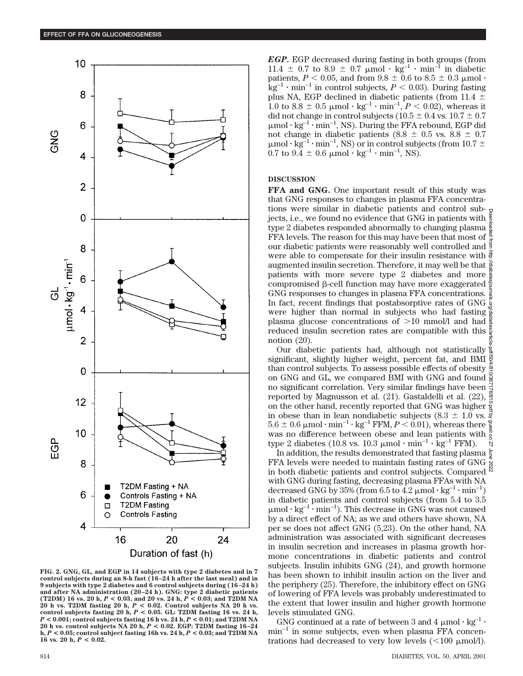

**FIG. 2. GNG, GL, and EGP in 14 subjects with type 2 diabetes and in 7 control subjects during an 8-h fast (16–24 h after the last meal) and in 9 subjects with type 2 diabetes and 6 control subjects during (16–24 h) and after NA administration (20–24 h). GNG: type 2 diabetic patients (T2DM) 16 vs. 20 h,** *P* **< 0.03, and 20 vs. 24 h,** *P* **< 0.03; and T2DM NA 20 h vs. T2DM fasting 20 h,** *P* **< 0.02. Control subjects NA 20 h vs. control subjects fasting 20 h,** *P* **< 0.05. GL: T2DM fasting 16 vs. 24 h,** *P* **< 0.001; control subjects fasting 16 h vs. 24 h,** *P* **< 0.01; and T2DM NA 20 h vs. control subjects NA 20 h,** *P* **< 0.02. EGP: T2DM fasting 16–24 h,** *P* **< 0.05; control subject fasting 16h vs. 24 h,** *P* **< 0.03; and T2DM NA** 16 vs. 20 h,  $P < 0.02$ .

*EGP.* EGP decreased during fasting in both groups (from 11.4  $\pm$  0.7 to 8.9  $\pm$  0.7  $\mu$ mol  $\cdot$  kg<sup>-1</sup>  $\cdot$  min<sup>-1</sup> in diabetic patients,  $P < 0.05$ , and from  $9.8 \pm 0.6$  to  $8.5 \pm 0.3$  µmol  $\cdot$  $kg^{-1} \cdot min^{-1}$  in control subjects,  $P < 0.03$ ). During fasting plus NA, EGP declined in diabetic patients (from 11.4  $\pm$ 1.0 to 8.8  $\pm$  0.5  $\mu$ mol · kg<sup>-1</sup> · min<sup>-1</sup>,  $P < 0.02$ ), whereas it did not change in control subjects ( $10.5 \pm 0.4$  vs.  $10.7 \pm 0.7$  $\mu$ mol·kg<sup>-1</sup>·min<sup>-1</sup>, NS). During the FFA rebound, EGP did not change in diabetic patients (8.8  $\pm$  0.5 vs. 8.8  $\pm$  0.7  $\mu$ mol·kg<sup>-1</sup>·min<sup>-1</sup>, NS) or in control subjects (from 10.7  $\pm$  $0.7$  to  $9.\overline{4} \pm 0.6$   $\mu$ mol·kg<sup>-1</sup>·min<sup>-1</sup>, NS).

#### **DISCUSSION**

**FFA and GNG.** One important result of this study was that GNG responses to changes in plasma FFA concentrations were similar in diabetic patients and control subjects, i.e., we found no evidence that GNG in patients with  $\frac{1}{2}$ type 2 diabetes responded abnormally to changing plasma  $\frac{3}{8}$ FFA levels. The reason for this may have been that most of our diabetic patients were reasonably well controlled and  $\frac{3}{2}$ were able to compensate for their insulin resistance with  $\frac{2}{3}$ augmented insulin secretion. Therefore, it may well be that  $\frac{5}{8}$ patients with more severe type 2 diabetes and more  $\frac{5}{8}$ compromised  $\beta$ -cell function may have more exaggerated  $\frac{3}{2}$ GNG responses to changes in plasma FFA concentrations.  $\frac{3}{2}$ In fact, recent findings that postabsorptive rates of GNG were higher than normal in subjects who had fasting  $\frac{8}{6}$ plasma glucose concentrations of  $>10$  mmol/l and had reduced insulin secretion rates are compatible with this notion (20).

Downloaded from http://diabetesjournals.org/diabetes/article-pdf/50/4/810/367176/810.pdf by guest on 27 June 2022Our diabetic patients had, although not statistically  $\frac{1}{2}$ significant, slightly higher weight, percent fat, and BMI than control subjects. To assess possible effects of obesity  $\frac{5}{2}$ on GNG and GL, we compared BMI with GNG and found  $\frac{S}{S}$ no significant correlation. Very similar findings have been  $\frac{3}{8}$ reported by Magnusson et al.  $(21)$ . Gastaldelli et al.  $(22)$ ,  $\frac{8}{3}$ on the other hand, recently reported that GNG was higher in obese than in lean nondiabetic subjects (8.3  $\pm$  1.0 vs.  $\vec{\xi}$ )  $5.6 \pm 0.6 \mu mol \cdot \text{min}^{-1} \cdot \text{kg}^{-1}$  FFM,  $P < 0.01$ ), whereas there was no difference between obese and lean patients with  $\frac{3}{5}$ type 2 diabetes (10.8 vs. 10.3  $\mu$ mol·min<sup>-1</sup>·kg<sup>-1</sup> FFM).  $\overline{z}$ 

In addition, the results demonstrated that fasting plasma  $\frac{2}{3}$ FFA levels were needed to maintain fasting rates of GNG in both diabetic patients and control subjects. Compared with GNG during fasting, decreasing plasma FFAs with NA decreased GNG by 35% (from 6.5 to 4.2  $\mu$ mol·kg<sup>-1</sup>·min<sup>-1</sup>) in diabetic patients and control subjects (from 5.4 to 3.5  $\mu$ mol · kg<sup>-1</sup> · min<sup>-1</sup>). This decrease in GNG was not caused by a direct effect of NA; as we and others have shown, NA per se does not affect GNG (5,23). On the other hand, NA administration was associated with significant decreases in insulin secretion and increases in plasma growth hormone concentrations in diabetic patients and control subjects. Insulin inhibits GNG (24), and growth hormone has been shown to inhibit insulin action on the liver and the periphery (25). Therefore, the inhibitory effect on GNG of lowering of FFA levels was probably underestimated to the extent that lower insulin and higher growth hormone levels stimulated GNG.

GNG continued at a rate of between 3 and 4  $\mu$ mol  $\cdot$  kg<sup>-1</sup>  $\cdot$  $min^{-1}$  in some subjects, even when plasma FFA concentrations had decreased to very low levels  $\ll 100 \mu$ mol/l).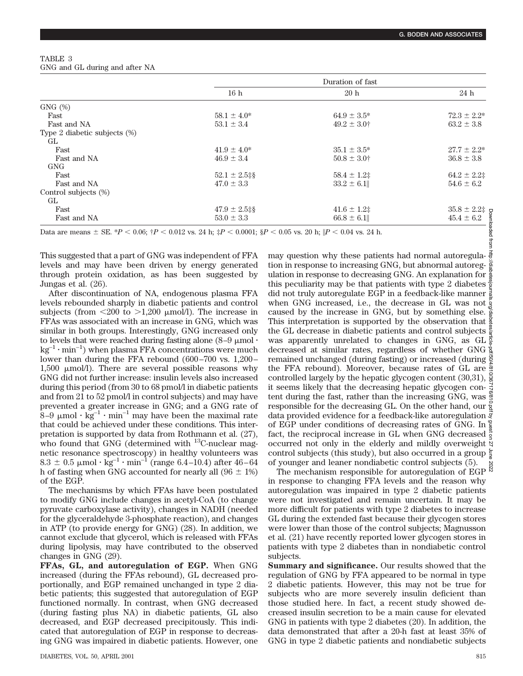| TABLE 3 |                                |
|---------|--------------------------------|
|         | GNG and GL during and after NA |

|                                 | Duration of fast  |                          |                    |  |
|---------------------------------|-------------------|--------------------------|--------------------|--|
|                                 | 16 h              | 20h                      | 24 h               |  |
| $GNG$ $(\%)$                    |                   |                          |                    |  |
| Fast                            | $58.1 \pm 4.0^*$  | $64.9 \pm 3.5^*$         | $72.3 \pm 2.2^*$   |  |
| Fast and NA                     | $53.1 \pm 3.4$    | $49.2 \pm 3.0^+$         | $63.2 \pm 3.8$     |  |
| Type 2 diabetic subjects $(\%)$ |                   |                          |                    |  |
| GL.                             |                   |                          |                    |  |
| Fast                            | $41.9 \pm 4.0^*$  | $35.1 \pm 3.5^*$         | $27.7 \pm 2.2^*$   |  |
| Fast and NA                     | $46.9 \pm 3.4$    | $50.8 \pm 3.0^{\dagger}$ | $36.8 \pm 3.8$     |  |
| <b>GNG</b>                      |                   |                          |                    |  |
| Fast                            | $52.1 \pm 2.5$ ‡§ | $58.4 \pm 1.2$           | $64.2 \pm 2.2$     |  |
| Fast and NA                     | $47.0 \pm 3.3$    | $33.2 \pm 6.1$           | $54.6 \pm 6.2$     |  |
| Control subjects (%)            |                   |                          |                    |  |
| GL                              |                   |                          |                    |  |
| Fast                            | $47.9 \pm 2.5$ ‡§ | $41.6 \pm 1.2$           | $35.8 \pm 2.2$ ‡ g |  |
| Fast and NA                     | $53.0 \pm 3.3$    | $66.8 \pm 6.1$           | $45.4 \pm 6.2$     |  |

This suggested that a part of GNG was independent of FFA levels and may have been driven by energy generated through protein oxidation, as has been suggested by Jungas et al. (26).

After discontinuation of NA, endogenous plasma FFA levels rebounded sharply in diabetic patients and control subjects (from  $\langle 200 \rangle$  to  $>1,200 \rangle$  µmol/l). The increase in FFAs was associated with an increase in GNG, which was similar in both groups. Interestingly, GNG increased only to levels that were reached during fasting alone  $(8-9 \mu m)$  $kg^{-1} \cdot min^{-1}$ ) when plasma FFA concentrations were much lower than during the FFA rebound (600–700 vs. 1,200– 1,500  $\mu$ mol/l). There are several possible reasons why GNG did not further increase: insulin levels also increased during this period (from 30 to 68 pmol/l in diabetic patients and from 21 to 52 pmol/l in control subjects) and may have prevented a greater increase in GNG; and a GNG rate of 8–9  $\mu$ mol · kg<sup>-1</sup> · min<sup>-1</sup> may have been the maximal rate that could be achieved under these conditions. This interpretation is supported by data from Rothmann et al. (27), who found that GNG (determined with  $^{13}$ C-nuclear magnetic resonance spectroscopy) in healthy volunteers was 8.3  $\pm$  0.5 µmol  $\cdot$  kg<sup>-1</sup>  $\cdot$  min<sup>-1</sup> (range 6.4–10.4) after 46–64 h of fasting when GNG accounted for nearly all  $(96 \pm 1\%)$ of the EGP.

The mechanisms by which FFAs have been postulated to modify GNG include changes in acetyl-CoA (to change pyruvate carboxylase activity), changes in NADH (needed for the glyceraldehyde 3-phosphate reaction), and changes in ATP (to provide energy for GNG) (28). In addition, we cannot exclude that glycerol, which is released with FFAs during lipolysis, may have contributed to the observed changes in GNG (29).

**FFAs, GL, and autoregulation of EGP.** When GNG increased (during the FFAs rebound), GL decreased proportionally, and EGP remained unchanged in type 2 diabetic patients; this suggested that autoregulation of EGP functioned normally. In contrast, when GNG decreased (during fasting plus NA) in diabetic patients, GL also decreased, and EGP decreased precipitously. This indicated that autoregulation of EGP in response to decreasing GNG was impaired in diabetic patients. However, one may question why these patients had normal autoregulation in response to increasing GNG, but abnormal autoreg- $\frac{5}{8}$ ulation in response to decreasing GNG. An explanation for  $\frac{8}{6}$ this peculiarity may be that patients with type 2 diabetes  $\frac{3}{2}$ did not truly autoregulate EGP in a feedback-like manner when GNG increased, i.e., the decrease in GL was not caused by the increase in GNG, but by something else. This interpretation is supported by the observation that  $\frac{1}{2}$ the GL decrease in diabetic patients and control subjects  $\frac{8}{9}$ was apparently unrelated to changes in GNG, as GL  $\frac{5}{8}$ decreased at similar rates, regardless of whether GNG remained unchanged (during fasting) or increased (during the FFA rebound). Moreover, because rates of GL are controlled largely by the hepatic glycogen content  $(30,31)$ ,  $\frac{8}{9}$ it seems likely that the decreasing hepatic glycogen con- $\frac{3}{8}$ tent during the fast, rather than the increasing GNG, was responsible for the decreasing GL. On the other hand, our  $\frac{5}{2}$ data provided evidence for a feedback-like autoregulation  $\vec{\xi}$ of EGP under conditions of decreasing rates of GNG. In  $\frac{8}{8}$ fact, the reciprocal increase in GL when GNG decreased occurred not only in the elderly and mildly overweight  $\Im$ control subjects (this study), but also occurred in a group  $\overline{5}$ of younger and leaner nondiabetic control subjects (5). Downloaded from http://diabetesjournals.org/diabetes/article-pdf/50/4/810/367176/810.pdf by guest on 27 June 2022

The mechanism responsible for autoregulation of EGP  $\frac{8}{100}$ in response to changing FFA levels and the reason why autoregulation was impaired in type 2 diabetic patients were not investigated and remain uncertain. It may be more difficult for patients with type 2 diabetes to increase GL during the extended fast because their glycogen stores were lower than those of the control subjects; Magnusson et al. (21) have recently reported lower glycogen stores in patients with type 2 diabetes than in nondiabetic control subjects.

**Summary and significance.** Our results showed that the regulation of GNG by FFA appeared to be normal in type 2 diabetic patients. However, this may not be true for subjects who are more severely insulin deficient than those studied here. In fact, a recent study showed decreased insulin secretion to be a main cause for elevated GNG in patients with type 2 diabetes (20). In addition, the data demonstrated that after a 20-h fast at least 35% of GNG in type 2 diabetic patients and nondiabetic subjects